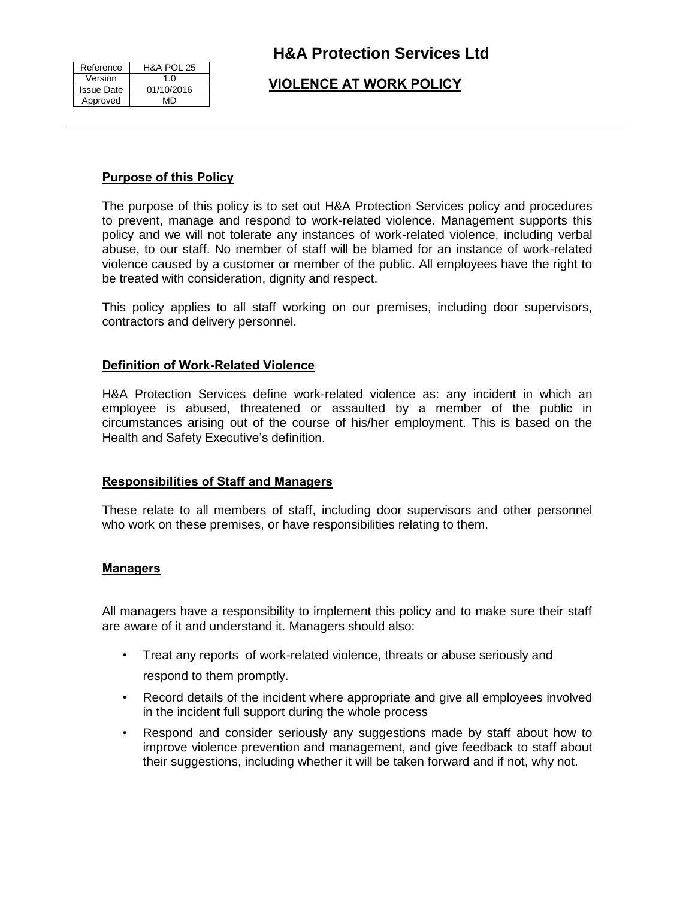| Reference         | <b>H&amp;A POL 25</b> |
|-------------------|-----------------------|
| Version           | 1 በ                   |
| <b>Issue Date</b> | 01/10/2016            |
| Approved          | MD                    |

# **VIOLENCE AT WORK POLICY**

## **Purpose of this Policy**

The purpose of this policy is to set out H&A Protection Services policy and procedures to prevent, manage and respond to work-related violence. Management supports this policy and we will not tolerate any instances of work-related violence, including verbal abuse, to our staff. No member of staff will be blamed for an instance of work-related violence caused by a customer or member of the public. All employees have the right to be treated with consideration, dignity and respect.

This policy applies to all staff working on our premises, including door supervisors, contractors and delivery personnel.

## **Definition of Work-Related Violence**

H&A Protection Services define work-related violence as: any incident in which an employee is abused, threatened or assaulted by a member of the public in circumstances arising out of the course of his/her employment. This is based on the Health and Safety Executive's definition.

## **Responsibilities of Staff and Managers**

These relate to all members of staff, including door supervisors and other personnel who work on these premises, or have responsibilities relating to them.

#### **Managers**

All managers have a responsibility to implement this policy and to make sure their staff are aware of it and understand it. Managers should also:

- Treat any reports of work-related violence, threats or abuse seriously and respond to them promptly.
- Record details of the incident where appropriate and give all employees involved in the incident full support during the whole process
- Respond and consider seriously any suggestions made by staff about how to improve violence prevention and management, and give feedback to staff about their suggestions, including whether it will be taken forward and if not, why not.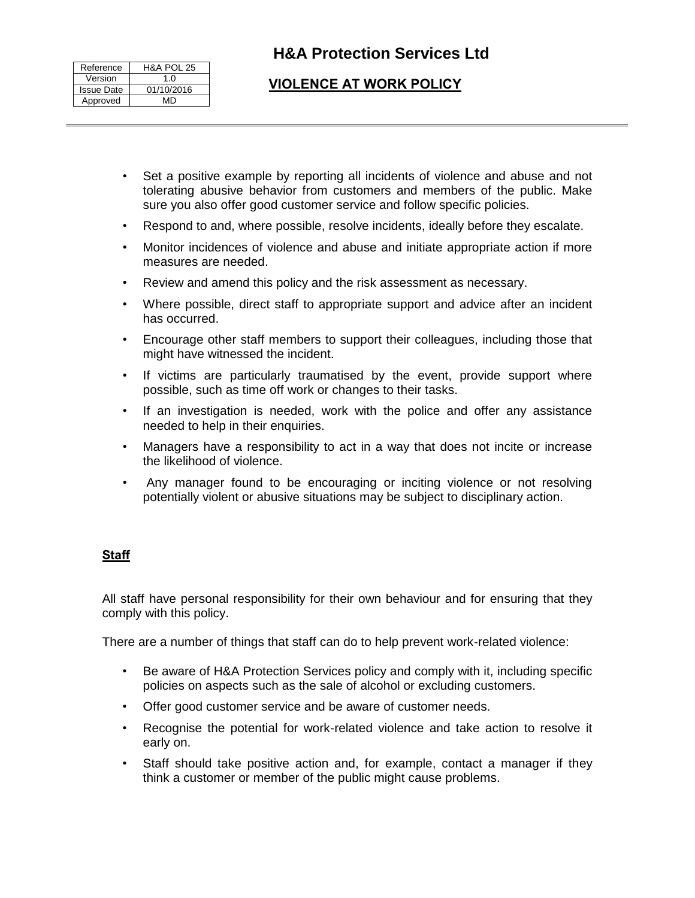| Reference         | <b>H&amp;A POL 25</b> |
|-------------------|-----------------------|
| Version           | 1 በ                   |
| <b>Issue Date</b> | 01/10/2016            |
| Approved          | MD                    |

# **H&A Protection Services Ltd**

# **VIOLENCE AT WORK POLICY**

- Set a positive example by reporting all incidents of violence and abuse and not tolerating abusive behavior from customers and members of the public. Make sure you also offer good customer service and follow specific policies.
- Respond to and, where possible, resolve incidents, ideally before they escalate.
- Monitor incidences of violence and abuse and initiate appropriate action if more measures are needed.
- Review and amend this policy and the risk assessment as necessary.
- Where possible, direct staff to appropriate support and advice after an incident has occurred.
- Encourage other staff members to support their colleagues, including those that might have witnessed the incident.
- If victims are particularly traumatised by the event, provide support where possible, such as time off work or changes to their tasks.
- If an investigation is needed, work with the police and offer any assistance needed to help in their enquiries.
- Managers have a responsibility to act in a way that does not incite or increase the likelihood of violence.
- Any manager found to be encouraging or inciting violence or not resolving potentially violent or abusive situations may be subject to disciplinary action.

## **Staff**

All staff have personal responsibility for their own behaviour and for ensuring that they comply with this policy.

There are a number of things that staff can do to help prevent work-related violence:

- Be aware of H&A Protection Services policy and comply with it, including specific policies on aspects such as the sale of alcohol or excluding customers.
- Offer good customer service and be aware of customer needs.
- Recognise the potential for work-related violence and take action to resolve it early on.
- Staff should take positive action and, for example, contact a manager if they think a customer or member of the public might cause problems.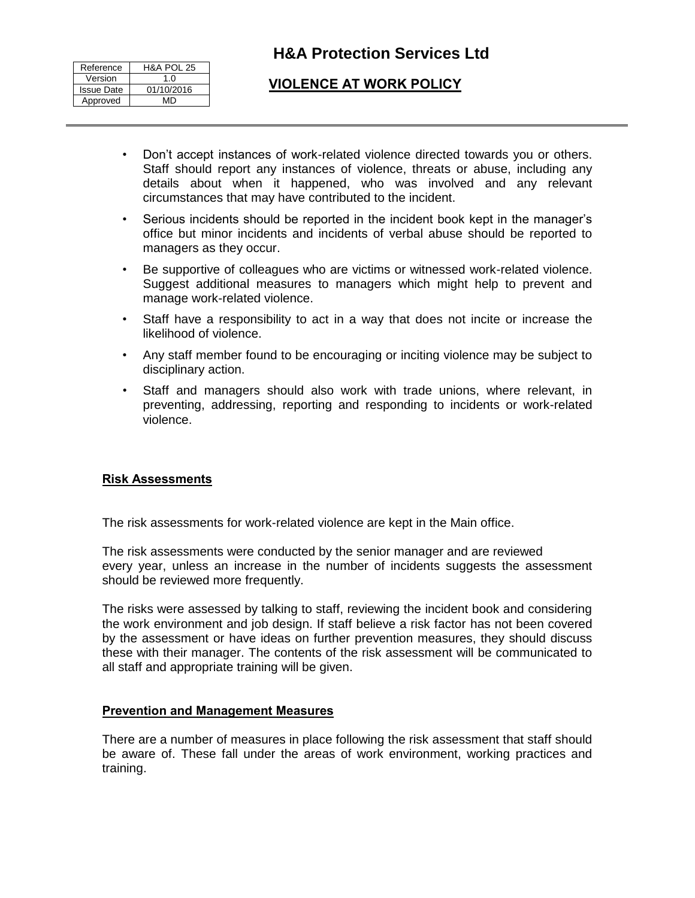| Reference         | <b>H&amp;A POL 25</b> |
|-------------------|-----------------------|
| Version           | 1 በ                   |
| <b>Issue Date</b> | 01/10/2016            |
| Approved          | MD                    |

# **H&A Protection Services Ltd**

# **VIOLENCE AT WORK POLICY**

- Don't accept instances of work-related violence directed towards you or others. Staff should report any instances of violence, threats or abuse, including any details about when it happened, who was involved and any relevant circumstances that may have contributed to the incident.
- Serious incidents should be reported in the incident book kept in the manager's office but minor incidents and incidents of verbal abuse should be reported to managers as they occur.
- Be supportive of colleagues who are victims or witnessed work-related violence. Suggest additional measures to managers which might help to prevent and manage work-related violence.
- Staff have a responsibility to act in a way that does not incite or increase the likelihood of violence.
- Any staff member found to be encouraging or inciting violence may be subject to disciplinary action.
- Staff and managers should also work with trade unions, where relevant, in preventing, addressing, reporting and responding to incidents or work-related violence.

## **Risk Assessments**

The risk assessments for work-related violence are kept in the Main office.

The risk assessments were conducted by the senior manager and are reviewed every year, unless an increase in the number of incidents suggests the assessment should be reviewed more frequently.

The risks were assessed by talking to staff, reviewing the incident book and considering the work environment and job design. If staff believe a risk factor has not been covered by the assessment or have ideas on further prevention measures, they should discuss these with their manager. The contents of the risk assessment will be communicated to all staff and appropriate training will be given.

## **Prevention and Management Measures**

There are a number of measures in place following the risk assessment that staff should be aware of. These fall under the areas of work environment, working practices and training.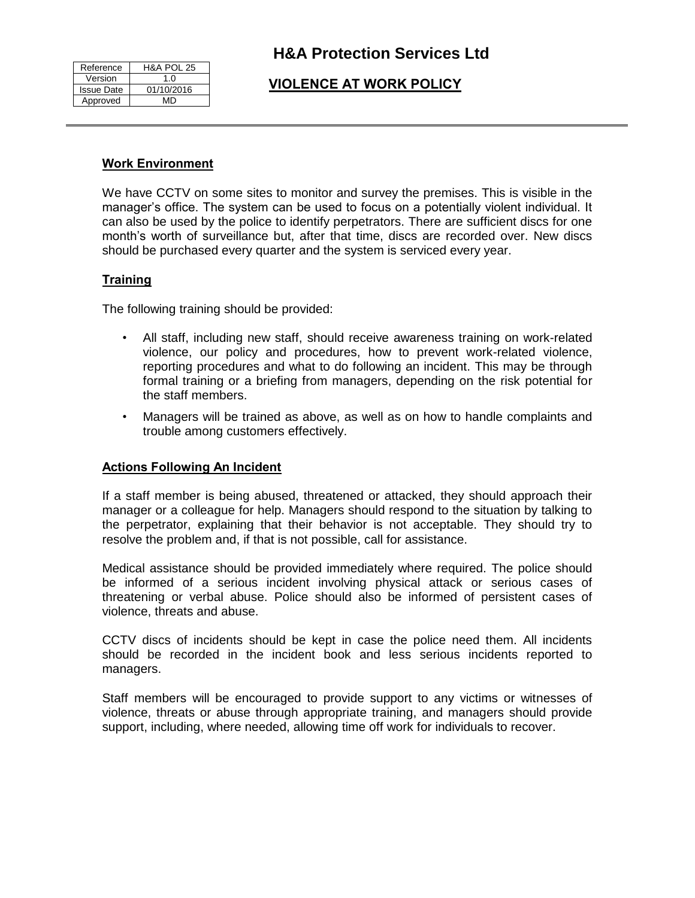| Reference         | <b>H&amp;A POL 25</b> |
|-------------------|-----------------------|
| Version           | 1.0                   |
| <b>Issue Date</b> | 01/10/2016            |
| Approved          | MD                    |

# **VIOLENCE AT WORK POLICY**

#### **Work Environment**

We have CCTV on some sites to monitor and survey the premises. This is visible in the manager's office. The system can be used to focus on a potentially violent individual. It can also be used by the police to identify perpetrators. There are sufficient discs for one month's worth of surveillance but, after that time, discs are recorded over. New discs should be purchased every quarter and the system is serviced every year.

## **Training**

The following training should be provided:

- All staff, including new staff, should receive awareness training on work-related violence, our policy and procedures, how to prevent work-related violence, reporting procedures and what to do following an incident. This may be through formal training or a briefing from managers, depending on the risk potential for the staff members.
- Managers will be trained as above, as well as on how to handle complaints and trouble among customers effectively.

## **Actions Following An Incident**

If a staff member is being abused, threatened or attacked, they should approach their manager or a colleague for help. Managers should respond to the situation by talking to the perpetrator, explaining that their behavior is not acceptable. They should try to resolve the problem and, if that is not possible, call for assistance.

Medical assistance should be provided immediately where required. The police should be informed of a serious incident involving physical attack or serious cases of threatening or verbal abuse. Police should also be informed of persistent cases of violence, threats and abuse.

CCTV discs of incidents should be kept in case the police need them. All incidents should be recorded in the incident book and less serious incidents reported to managers.

Staff members will be encouraged to provide support to any victims or witnesses of violence, threats or abuse through appropriate training, and managers should provide support, including, where needed, allowing time off work for individuals to recover.